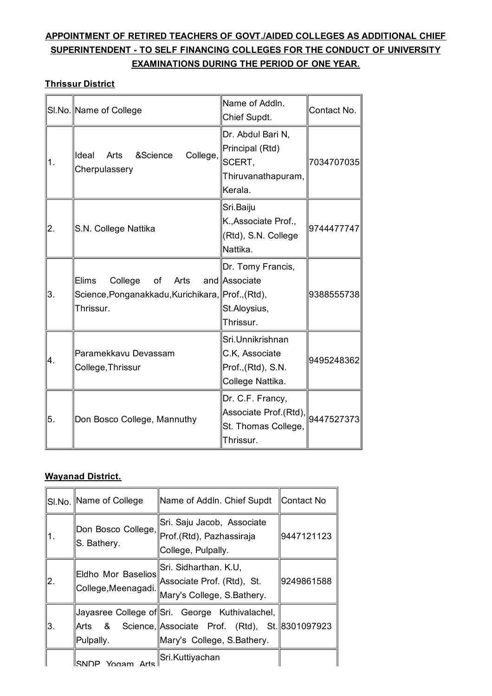# **APPOINTMENT OF RETIRED TEACHERS OF GOVT./AIDED COLLEGES AS ADDITIONAL CHIEF SUPERINTENDENT - TO SELF FINANCING COLLEGES FOR THE CONDUCT OF UNIVERSITY EXAMINATIONS DURING THE PERIOD OF ONE YEAR.**

#### **Thrissur District**

|    | SI.No. Name of College                                                                           | Name of Addln.<br>Chief Supdt.                                                                             | Contact No. |
|----|--------------------------------------------------------------------------------------------------|------------------------------------------------------------------------------------------------------------|-------------|
| 1. | College,<br>lldeal<br>&Science<br>Arts<br>Cherpulassery                                          | Dr. Abdul Bari N,<br>Principal (Rtd)<br>SCERT,<br>Thiruvanathapuram,<br>Kerala.                            | 7034707035  |
| 2. | S.N. College Nattika                                                                             | Sri.Baiju<br>K., Associate Prof.,<br>(Rtd), S.N. College<br>Nattika.                                       | 9744477747  |
| 3. | Elims<br>College<br>of<br>Arts<br>Science, Ponganakkadu, Kurichikara, Prof., (Rtd),<br>Thrissur. | Dr. Tomy Francis,<br>and Associate<br>St.Aloysius,<br>Thrissur.                                            | 9388555738  |
| 4. | Paramekkavu Devassam<br>College, Thrissur                                                        | Sri.Unnikrishnan<br>C.K, Associate<br>Prof., (Rtd), S.N.<br>College Nattika.                               | 9495248362  |
| 5. | Don Bosco College, Mannuthy                                                                      | Dr. C.F. Francy,<br>Associate Prof.(Rtd), $\left\  9447527373\right\ $<br>St. Thomas College,<br>Thrissur. |             |

### **Wayanad District.**

|    | SI.No. Name of College                    | Name of Addln. Chief Supdt                                                                                                            | ∥Contact No |
|----|-------------------------------------------|---------------------------------------------------------------------------------------------------------------------------------------|-------------|
| 1. | S. Bathery.                               | Sri. Saju Jacob, Associate<br>∥Don Bosco College,∥ <sub>Prof.(Rtd), Pazhassiraja</sub><br>College, Pulpally.                          | 9447121123  |
| 2. | Eldho Mor Baselios<br>College, Meenagadi. | Sri. Sidharthan. K.U,<br>Associate Prof. (Rtd), St.<br>Mary's College, S.Bathery.                                                     | 9249861588  |
| Β. | Pulpally.                                 | Jayasree College of Sri. George Kuthivalachel,<br>Arts & Science, Associate Prof. (Rtd), St. 8301097923<br>Mary's College, S.Bathery. |             |
|    | ⊪SNDP<br>Yogam Arte                       | Sri.Kuttiyachan                                                                                                                       |             |